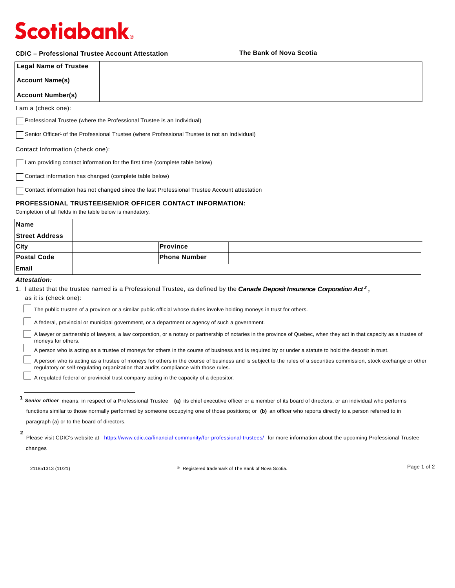# **Scotiabank**

### **CDIC – Professional Trustee Account Attestation**

**The Bank of Nova Scotia**

| <b>Legal Name of Trustee</b> |  |
|------------------------------|--|
| <b>Account Name(s)</b>       |  |
| <b>Account Number(s)</b>     |  |

I am a (check one):

Professional Trustee (where the Professional Trustee is an Individual)

Senior Officer<sup>1</sup> of the Professional Trustee (where Professional Trustee is not an Individual)

Contact Information (check one):

I am providing contact information for the first time (complete table below)

Contact information has changed (complete table below)

Contact information has not changed since the last Professional Trustee Account attestation

## **PROFESSIONAL TRUSTEE/SENIOR OFFICER CONTACT INFORMATION:**

Completion of all fields in the table below is mandatory.

| <b>Name</b>           |                     |  |
|-----------------------|---------------------|--|
| <b>Street Address</b> |                     |  |
| <b>City</b>           | <b>Province</b>     |  |
| <b>Postal Code</b>    | <b>Phone Number</b> |  |
| Email                 |                     |  |

### *Attestation:*

| 1. I attest that the trustee named is a Professional Trustee, as defined by the Canada Deposit Insurance Corporation Act <sup>2</sup> , |  |  |
|-----------------------------------------------------------------------------------------------------------------------------------------|--|--|
| as it is (check one):                                                                                                                   |  |  |

The public trustee of a province or a similar public official whose duties involve holding moneys in trust for others.

A federal, provincial or municipal government, or a department or agency of such a government.

A lawyer or partnership of lawyers, a law corporation, or a notary or partnership of notaries in the province of Quebec, when they act in that capacity as a trustee of moneys for others.

A person who is acting as a trustee of moneys for others in the course of business and is required by or under a statute to hold the deposit in trust.

A person who is acting as a trustee of moneys for others in the course of business and is subject to the rules of a securities commission, stock exchange or other regulatory or self-regulating organization that audits compliance with those rules.

A regulated federal or provincial trust company acting in the capacity of a depositor.

211851313 (11/21) **Registered trademark of The Bank of Nova Scotia.** <sup>®</sup> Registered trademark of The Bank of Nova Scotia.

Page 1 of 2

<sup>&</sup>lt;sup>1</sup> Senior officer means, in respect of a Professional Trustee (a) its chief executive officer or a member of its board of directors, or an individual who performs functions similar to those normally performed by someone occupying one of those positions; or **(b)** an officer who reports directly to a person referred to in paragraph (a) or to the board of directors.

Please visit CDIC's website at https://www.cdic.ca/financial-community/for-professional-trustees/ for more information about the upcoming Professional Trustee changes **2**